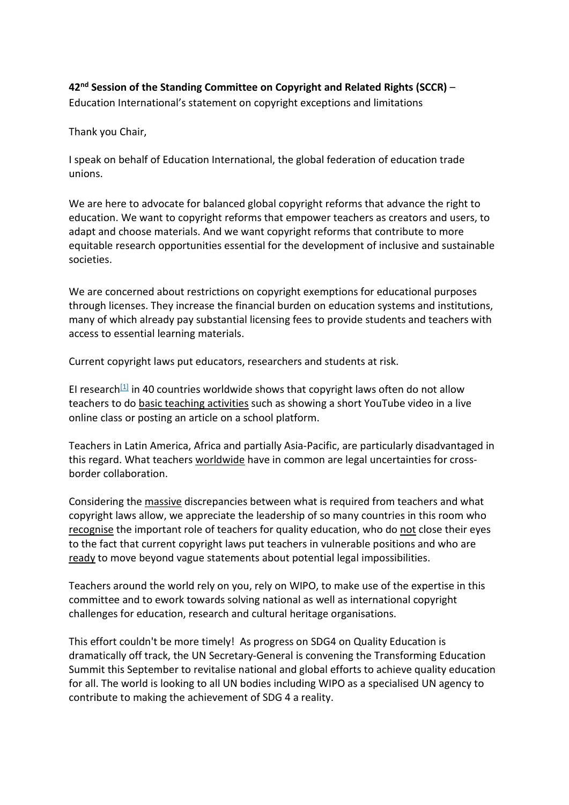**42nd Session of the Standing Committee on Copyright and Related Rights (SCCR)** – Education International's statement on copyright exceptions and limitations

Thank you Chair,

I speak on behalf of Education International, the global federation of education trade unions.

We are here to advocate for balanced global copyright reforms that advance the right to education. We want to copyright reforms that empower teachers as creators and users, to adapt and choose materials. And we want copyright reforms that contribute to more equitable research opportunities essential for the development of inclusive and sustainable societies.

We are concerned about restrictions on copyright exemptions for educational purposes through licenses. They increase the financial burden on education systems and institutions, many of which already pay substantial licensing fees to provide students and teachers with access to essential learning materials.

Current copyright laws put educators, researchers and students at risk.

EI research<sup>[1]</sup> in 40 countries worldwide shows that copyright laws often do not allow teachers to do basic teaching activities such as showing a short YouTube video in a live online class or posting an article on a school platform.

Teachers in Latin America, Africa and partially Asia-Pacific, are particularly disadvantaged in this regard. What teachers worldwide have in common are legal uncertainties for crossborder collaboration.

Considering the massive discrepancies between what is required from teachers and what copyright laws allow, we appreciate the leadership of so many countries in this room who recognise the important role of teachers for quality education, who do not close their eyes to the fact that current copyright laws put teachers in vulnerable positions and who are ready to move beyond vague statements about potential legal impossibilities.

Teachers around the world rely on you, rely on WIPO, to make use of the expertise in this committee and to ework towards solving national as well as international copyright challenges for education, research and cultural heritage organisations.

This effort couldn't be more timely! As progress on SDG4 on Quality Education is dramatically off track, the UN Secretary-General is convening the Transforming Education Summit this September to revitalise national and global efforts to achieve quality education for all. The world is looking to all UN bodies including WIPO as a specialised UN agency to contribute to making the achievement of SDG 4 a reality.